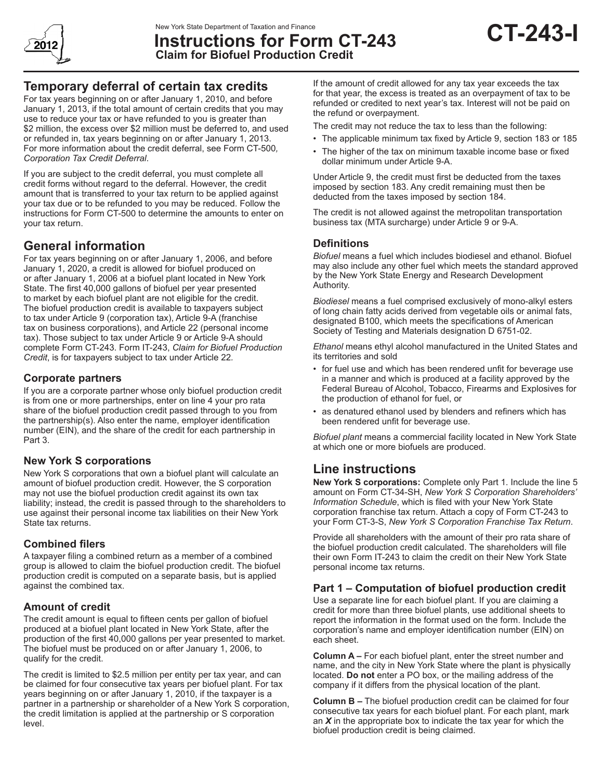

**Instructions for Form CT-243 Claim for Biofuel Production Credit**



For tax years beginning on or after January 1, 2010, and before January 1, 2013, if the total amount of certain credits that you may use to reduce your tax or have refunded to you is greater than \$2 million, the excess over \$2 million must be deferred to, and used or refunded in, tax years beginning on or after January 1, 2013. For more information about the credit deferral, see Form CT-500*, Corporation Tax Credit Deferral*.

If you are subject to the credit deferral, you must complete all credit forms without regard to the deferral. However, the credit amount that is transferred to your tax return to be applied against your tax due or to be refunded to you may be reduced. Follow the instructions for Form CT-500 to determine the amounts to enter on your tax return.

# **General information**

For tax years beginning on or after January 1, 2006, and before January 1, 2020, a credit is allowed for biofuel produced on or after January 1, 2006 at a biofuel plant located in New York State. The first 40,000 gallons of biofuel per year presented to market by each biofuel plant are not eligible for the credit. The biofuel production credit is available to taxpayers subject to tax under Article 9 (corporation tax), Article 9-A (franchise tax on business corporations), and Article 22 (personal income tax). Those subject to tax under Article 9 or Article 9-A should complete Form CT-243. Form IT-243, *Claim for Biofuel Production Credit*, is for taxpayers subject to tax under Article 22*.*

### **Corporate partners**

If you are a corporate partner whose only biofuel production credit is from one or more partnerships, enter on line 4 your pro rata share of the biofuel production credit passed through to you from the partnership(s). Also enter the name, employer identification number (EIN), and the share of the credit for each partnership in Part 3.

## **New York S corporations**

New York S corporations that own a biofuel plant will calculate an amount of biofuel production credit. However, the S corporation may not use the biofuel production credit against its own tax liability; instead, the credit is passed through to the shareholders to use against their personal income tax liabilities on their New York State tax returns.

## **Combined filers**

A taxpayer filing a combined return as a member of a combined group is allowed to claim the biofuel production credit. The biofuel production credit is computed on a separate basis, but is applied against the combined tax.

## **Amount of credit**

The credit amount is equal to fifteen cents per gallon of biofuel produced at a biofuel plant located in New York State, after the production of the first 40,000 gallons per year presented to market. The biofuel must be produced on or after January 1, 2006, to qualify for the credit.

The credit is limited to \$2.5 million per entity per tax year, and can be claimed for four consecutive tax years per biofuel plant. For tax years beginning on or after January 1, 2010, if the taxpayer is a partner in a partnership or shareholder of a New York S corporation, the credit limitation is applied at the partnership or S corporation level.

If the amount of credit allowed for any tax year exceeds the tax for that year, the excess is treated as an overpayment of tax to be refunded or credited to next year's tax. Interest will not be paid on the refund or overpayment.

**CT-243-I**

The credit may not reduce the tax to less than the following:

- The applicable minimum tax fixed by Article 9, section 183 or 185
- The higher of the tax on minimum taxable income base or fixed dollar minimum under Article 9-A.

Under Article 9, the credit must first be deducted from the taxes imposed by section 183. Any credit remaining must then be deducted from the taxes imposed by section 184.

The credit is not allowed against the metropolitan transportation business tax (MTA surcharge) under Article 9 or 9-A.

### **Definitions**

*Biofuel* means a fuel which includes biodiesel and ethanol. Biofuel may also include any other fuel which meets the standard approved by the New York State Energy and Research Development Authority.

*Biodiesel* means a fuel comprised exclusively of mono-alkyl esters of long chain fatty acids derived from vegetable oils or animal fats, designated B100, which meets the specifications of American Society of Testing and Materials designation D 6751-02.

*Ethanol* means ethyl alcohol manufactured in the United States and its territories and sold

- for fuel use and which has been rendered unfit for beverage use in a manner and which is produced at a facility approved by the Federal Bureau of Alcohol, Tobacco, Firearms and Explosives for the production of ethanol for fuel, or
- as denatured ethanol used by blenders and refiners which has been rendered unfit for beverage use.

*Biofuel plant* means a commercial facility located in New York State at which one or more biofuels are produced.

## **Line instructions**

**New York S corporations:** Complete only Part 1. Include the line 5 amount on Form CT-34-SH, *New York S Corporation Shareholders' Information Schedule*, which is filed with your New York State corporation franchise tax return. Attach a copy of Form CT-243 to your Form CT-3-S, *New York S Corporation Franchise Tax Return*.

Provide all shareholders with the amount of their pro rata share of the biofuel production credit calculated. The shareholders will file their own Form IT-243 to claim the credit on their New York State personal income tax returns.

## **Part 1 – Computation of biofuel production credit**

Use a separate line for each biofuel plant. If you are claiming a credit for more than three biofuel plants, use additional sheets to report the information in the format used on the form. Include the corporation's name and employer identification number (EIN) on each sheet.

**Column A –** For each biofuel plant, enter the street number and name, and the city in New York State where the plant is physically located. **Do not** enter a PO box, or the mailing address of the company if it differs from the physical location of the plant.

**Column B –** The biofuel production credit can be claimed for four consecutive tax years for each biofuel plant. For each plant, mark an *X* in the appropriate box to indicate the tax year for which the biofuel production credit is being claimed.